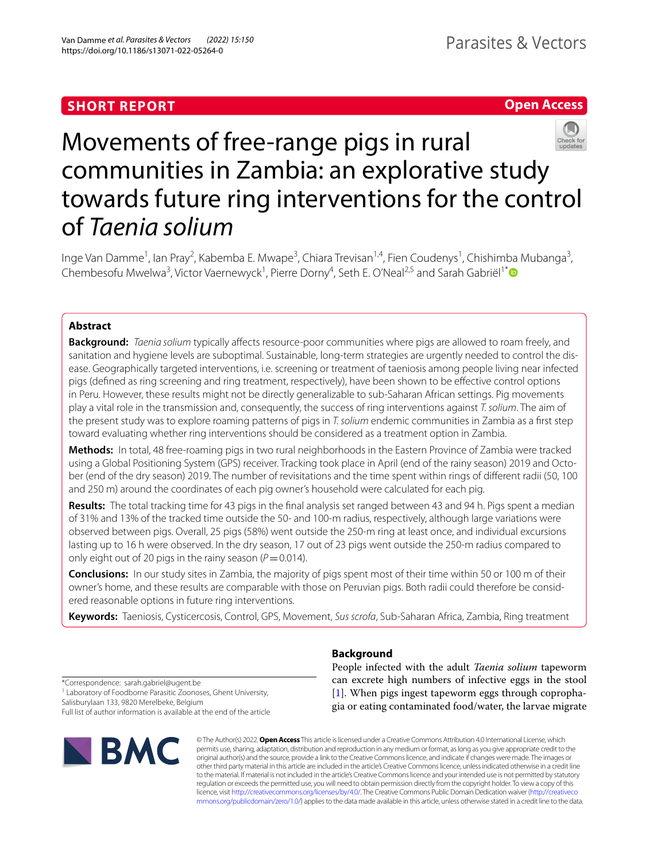# **SHORT REPORT**

# **Open Access**



# Movements of free-range pigs in rural communities in Zambia: an explorative study towards future ring interventions for the control of *Taenia solium*

Inge Van Damme<sup>1</sup>, lan Pray<sup>2</sup>, Kabemba E. Mwape<sup>3</sup>, Chiara Trevisan<sup>1,4</sup>, Fien Coudenys<sup>1</sup>, Chishimba Mubanga<sup>3</sup>, Chembesofu Mwelwa<sup>3</sup>, Victor Vaernewyck<sup>1</sup>, Pierre Dorny<sup>4</sup>, Seth E. O'Neal<sup>2,5</sup> and Sarah Gabriël<sup>1\*</sup><sup>®</sup>

# **Abstract**

**Background:** *Taenia solium* typically affects resource-poor communities where pigs are allowed to roam freely, and sanitation and hygiene levels are suboptimal. Sustainable, long-term strategies are urgently needed to control the disease. Geographically targeted interventions, i.e. screening or treatment of taeniosis among people living near infected pigs (defned as ring screening and ring treatment, respectively), have been shown to be efective control options in Peru. However, these results might not be directly generalizable to sub-Saharan African settings. Pig movements play a vital role in the transmission and, consequently, the success of ring interventions against *T. solium*. The aim of the present study was to explore roaming patterns of pigs in *T. solium* endemic communities in Zambia as a frst step toward evaluating whether ring interventions should be considered as a treatment option in Zambia.

**Methods:** In total, 48 free-roaming pigs in two rural neighborhoods in the Eastern Province of Zambia were tracked using a Global Positioning System (GPS) receiver. Tracking took place in April (end of the rainy season) 2019 and October (end of the dry season) 2019. The number of revisitations and the time spent within rings of diferent radii (50, 100 and 250 m) around the coordinates of each pig owner's household were calculated for each pig.

**Results:** The total tracking time for 43 pigs in the fnal analysis set ranged between 43 and 94 h. Pigs spent a median of 31% and 13% of the tracked time outside the 50- and 100-m radius, respectively, although large variations were observed between pigs. Overall, 25 pigs (58%) went outside the 250-m ring at least once, and individual excursions lasting up to 16 h were observed. In the dry season, 17 out of 23 pigs went outside the 250-m radius compared to only eight out of 20 pigs in the rainy season (*P*=0.014).

**Conclusions:** In our study sites in Zambia, the majority of pigs spent most of their time within 50 or 100 m of their owner's home, and these results are comparable with those on Peruvian pigs. Both radii could therefore be considered reasonable options in future ring interventions.

**Keywords:** Taeniosis, Cysticercosis, Control, GPS, Movement, *Sus scrofa*, Sub-Saharan Africa, Zambia, Ring treatment

\*Correspondence: sarah.gabriel@ugent.be <sup>1</sup> Laboratory of Foodborne Parasitic Zoonoses, Ghent University, Salisburylaan 133, 9820 Merelbeke, Belgium Full list of author information is available at the end of the article



# **Background**

People infected with the adult *Taenia solium* tapeworm can excrete high numbers of infective eggs in the stool [[1\]](#page-6-0). When pigs ingest tapeworm eggs through coprophagia or eating contaminated food/water, the larvae migrate

© The Author(s) 2022. **Open Access** This article is licensed under a Creative Commons Attribution 4.0 International License, which permits use, sharing, adaptation, distribution and reproduction in any medium or format, as long as you give appropriate credit to the original author(s) and the source, provide a link to the Creative Commons licence, and indicate if changes were made. The images or other third party material in this article are included in the article's Creative Commons licence, unless indicated otherwise in a credit line to the material. If material is not included in the article's Creative Commons licence and your intended use is not permitted by statutory regulation or exceeds the permitted use, you will need to obtain permission directly from the copyright holder. To view a copy of this licence, visit [http://creativecommons.org/licenses/by/4.0/.](http://creativecommons.org/licenses/by/4.0/) The Creative Commons Public Domain Dedication waiver ([http://creativeco](http://creativecommons.org/publicdomain/zero/1.0/) [mmons.org/publicdomain/zero/1.0/](http://creativecommons.org/publicdomain/zero/1.0/)) applies to the data made available in this article, unless otherwise stated in a credit line to the data.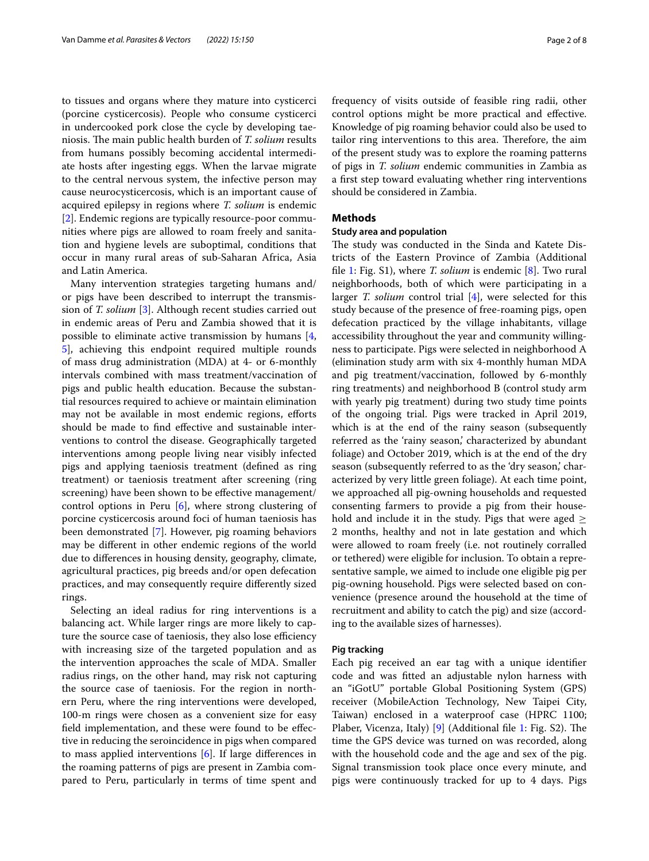to tissues and organs where they mature into cysticerci (porcine cysticercosis). People who consume cysticerci in undercooked pork close the cycle by developing taeniosis. The main public health burden of *T. solium* results from humans possibly becoming accidental intermediate hosts after ingesting eggs. When the larvae migrate to the central nervous system, the infective person may cause neurocysticercosis, which is an important cause of acquired epilepsy in regions where *T. solium* is endemic [[2\]](#page-6-1). Endemic regions are typically resource-poor communities where pigs are allowed to roam freely and sanitation and hygiene levels are suboptimal, conditions that occur in many rural areas of sub-Saharan Africa, Asia and Latin America.

Many intervention strategies targeting humans and/ or pigs have been described to interrupt the transmission of *T. solium* [[3\]](#page-6-2). Although recent studies carried out in endemic areas of Peru and Zambia showed that it is possible to eliminate active transmission by humans [\[4](#page-7-0), [5\]](#page-7-1), achieving this endpoint required multiple rounds of mass drug administration (MDA) at 4- or 6-monthly intervals combined with mass treatment/vaccination of pigs and public health education. Because the substantial resources required to achieve or maintain elimination may not be available in most endemic regions, eforts should be made to fnd efective and sustainable interventions to control the disease. Geographically targeted interventions among people living near visibly infected pigs and applying taeniosis treatment (defned as ring treatment) or taeniosis treatment after screening (ring screening) have been shown to be effective management/ control options in Peru [[6\]](#page-7-2), where strong clustering of porcine cysticercosis around foci of human taeniosis has been demonstrated [[7\]](#page-7-3). However, pig roaming behaviors may be diferent in other endemic regions of the world due to diferences in housing density, geography, climate, agricultural practices, pig breeds and/or open defecation practices, and may consequently require diferently sized rings.

Selecting an ideal radius for ring interventions is a balancing act. While larger rings are more likely to capture the source case of taeniosis, they also lose efficiency with increasing size of the targeted population and as the intervention approaches the scale of MDA. Smaller radius rings, on the other hand, may risk not capturing the source case of taeniosis. For the region in northern Peru, where the ring interventions were developed, 100-m rings were chosen as a convenient size for easy feld implementation, and these were found to be efective in reducing the seroincidence in pigs when compared to mass applied interventions [\[6](#page-7-2)]. If large diferences in the roaming patterns of pigs are present in Zambia compared to Peru, particularly in terms of time spent and frequency of visits outside of feasible ring radii, other control options might be more practical and efective. Knowledge of pig roaming behavior could also be used to tailor ring interventions to this area. Therefore, the aim of the present study was to explore the roaming patterns of pigs in *T. solium* endemic communities in Zambia as a frst step toward evaluating whether ring interventions should be considered in Zambia.

# **Methods**

## **Study area and population**

The study was conducted in the Sinda and Katete Districts of the Eastern Province of Zambia (Additional fle [1:](#page-6-3) Fig. S1), where *T. solium* is endemic [[8\]](#page-7-4). Two rural neighborhoods, both of which were participating in a larger *T. solium* control trial [[4\]](#page-7-0), were selected for this study because of the presence of free-roaming pigs, open defecation practiced by the village inhabitants, village accessibility throughout the year and community willingness to participate. Pigs were selected in neighborhood A (elimination study arm with six 4-monthly human MDA and pig treatment/vaccination, followed by 6-monthly ring treatments) and neighborhood B (control study arm with yearly pig treatment) during two study time points of the ongoing trial. Pigs were tracked in April 2019, which is at the end of the rainy season (subsequently referred as the 'rainy season,' characterized by abundant foliage) and October 2019, which is at the end of the dry season (subsequently referred to as the 'dry season,' characterized by very little green foliage). At each time point, we approached all pig-owning households and requested consenting farmers to provide a pig from their household and include it in the study. Pigs that were aged  $\geq$ 2 months, healthy and not in late gestation and which were allowed to roam freely (i.e. not routinely corralled or tethered) were eligible for inclusion. To obtain a representative sample, we aimed to include one eligible pig per pig-owning household. Pigs were selected based on convenience (presence around the household at the time of recruitment and ability to catch the pig) and size (according to the available sizes of harnesses).

#### **Pig tracking**

Each pig received an ear tag with a unique identifer code and was ftted an adjustable nylon harness with an "iGotU" portable Global Positioning System (GPS) receiver (MobileAction Technology, New Taipei City, Taiwan) enclosed in a waterproof case (HPRC 1100; Plaber, Vicenza, Italy)  $[9]$  $[9]$  (Additional file [1:](#page-6-3) Fig. S2). The time the GPS device was turned on was recorded, along with the household code and the age and sex of the pig. Signal transmission took place once every minute, and pigs were continuously tracked for up to 4 days. Pigs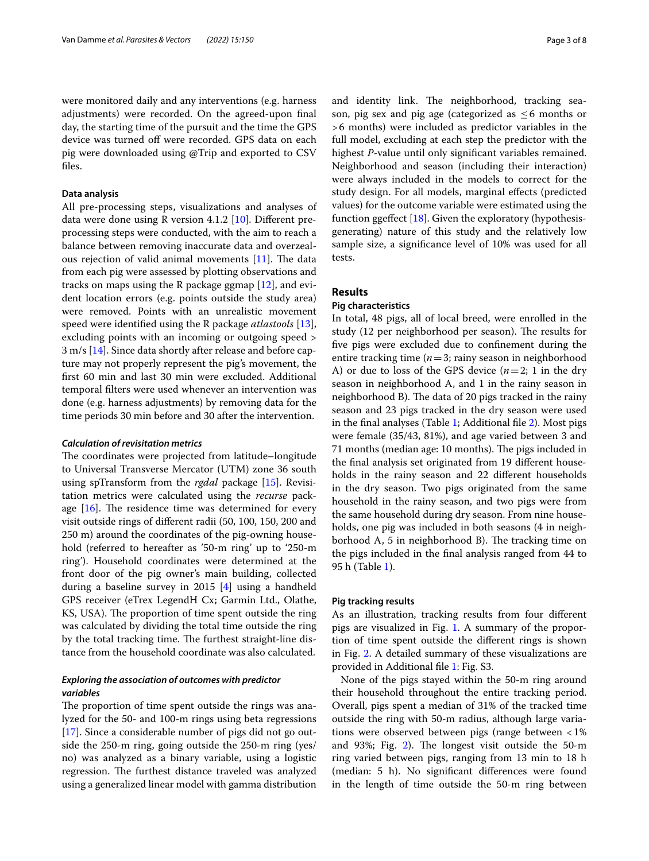were monitored daily and any interventions (e.g. harness adjustments) were recorded. On the agreed-upon fnal day, the starting time of the pursuit and the time the GPS device was turned off were recorded. GPS data on each pig were downloaded using @Trip and exported to CSV fles.

# **Data analysis**

All pre-processing steps, visualizations and analyses of data were done using R version 4.1.2 [[10](#page-7-6)]. Diferent preprocessing steps were conducted, with the aim to reach a balance between removing inaccurate data and overzealous rejection of valid animal movements  $[11]$  $[11]$ . The data from each pig were assessed by plotting observations and tracks on maps using the R package ggmap [\[12](#page-7-8)], and evident location errors (e.g. points outside the study area) were removed. Points with an unrealistic movement speed were identifed using the R package *atlastools* [\[13](#page-7-9)], excluding points with an incoming or outgoing speed > 3 m/s [[14\]](#page-7-10). Since data shortly after release and before capture may not properly represent the pig's movement, the frst 60 min and last 30 min were excluded. Additional temporal flters were used whenever an intervention was done (e.g. harness adjustments) by removing data for the time periods 30 min before and 30 after the intervention.

## *Calculation of revisitation metrics*

The coordinates were projected from latitude–longitude to Universal Transverse Mercator (UTM) zone 36 south using spTransform from the *rgdal* package [\[15](#page-7-11)]. Revisitation metrics were calculated using the *recurse* package  $[16]$  $[16]$  $[16]$ . The residence time was determined for every visit outside rings of diferent radii (50, 100, 150, 200 and 250 m) around the coordinates of the pig-owning household (referred to hereafter as '50-m ring' up to '250-m ring'). Household coordinates were determined at the front door of the pig owner's main building, collected during a baseline survey in 2015 [[4\]](#page-7-0) using a handheld GPS receiver (eTrex LegendH Cx; Garmin Ltd., Olathe, KS, USA). The proportion of time spent outside the ring was calculated by dividing the total time outside the ring by the total tracking time. The furthest straight-line distance from the household coordinate was also calculated.

# *Exploring the association of outcomes with predictor variables*

The proportion of time spent outside the rings was analyzed for the 50- and 100-m rings using beta regressions [[17\]](#page-7-13). Since a considerable number of pigs did not go outside the 250-m ring, going outside the 250-m ring (yes/ no) was analyzed as a binary variable, using a logistic regression. The furthest distance traveled was analyzed using a generalized linear model with gamma distribution and identity link. The neighborhood, tracking season, pig sex and pig age (categorized as  $\leq 6$  months or >6 months) were included as predictor variables in the full model, excluding at each step the predictor with the highest *P*-value until only signifcant variables remained. Neighborhood and season (including their interaction) were always included in the models to correct for the study design. For all models, marginal efects (predicted values) for the outcome variable were estimated using the function ggefect [\[18\]](#page-7-14). Given the exploratory (hypothesisgenerating) nature of this study and the relatively low sample size, a signifcance level of 10% was used for all tests.

# **Results**

# **Pig characteristics**

In total, 48 pigs, all of local breed, were enrolled in the study (12 per neighborhood per season). The results for fve pigs were excluded due to confnement during the entire tracking time (*n*=3; rainy season in neighborhood A) or due to loss of the GPS device  $(n=2; 1$  in the dry season in neighborhood A, and 1 in the rainy season in neighborhood B). The data of 20 pigs tracked in the rainy season and 23 pigs tracked in the dry season were used in the fnal analyses (Table [1](#page-3-0); Additional fle [2](#page-6-4)). Most pigs were female (35/43, 81%), and age varied between 3 and 71 months (median age: 10 months). The pigs included in the fnal analysis set originated from 19 diferent households in the rainy season and 22 diferent households in the dry season. Two pigs originated from the same household in the rainy season, and two pigs were from the same household during dry season. From nine households, one pig was included in both seasons (4 in neighborhood A, 5 in neighborhood B). The tracking time on the pigs included in the fnal analysis ranged from 44 to 95 h (Table [1](#page-3-0)).

# **Pig tracking results**

As an illustration, tracking results from four diferent pigs are visualized in Fig. [1](#page-4-0). A summary of the proportion of time spent outside the diferent rings is shown in Fig. [2.](#page-5-0) A detailed summary of these visualizations are provided in Additional fle [1](#page-6-3): Fig. S3.

None of the pigs stayed within the 50-m ring around their household throughout the entire tracking period. Overall, pigs spent a median of 31% of the tracked time outside the ring with 50-m radius, although large variations were observed between pigs (range between <1% and 93%; Fig. [2\)](#page-5-0). The longest visit outside the  $50-m$ ring varied between pigs, ranging from 13 min to 18 h (median: 5 h). No signifcant diferences were found in the length of time outside the 50-m ring between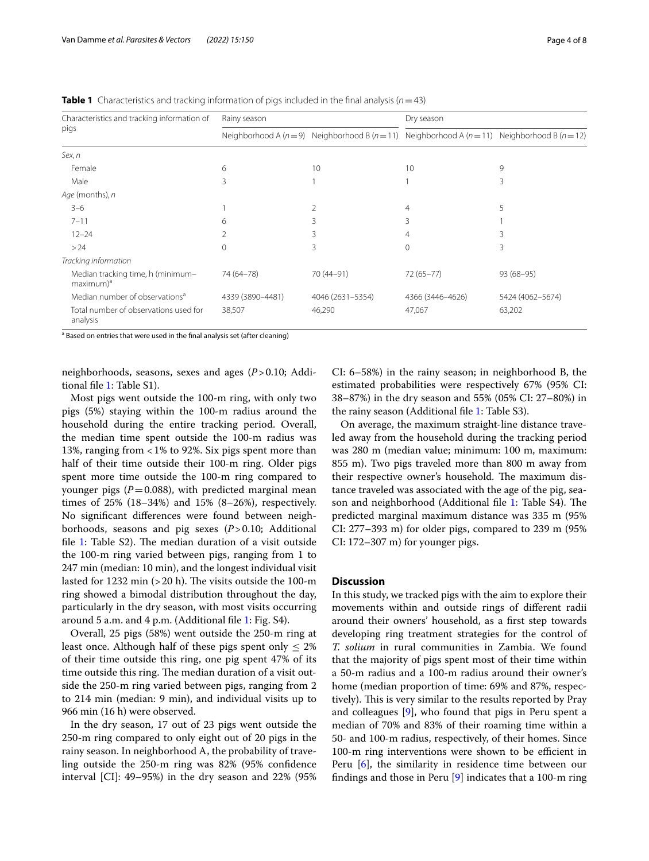| Characteristics and tracking information of<br>pigs        | Rainy season     |                  | Dry season                                                                                             |                  |
|------------------------------------------------------------|------------------|------------------|--------------------------------------------------------------------------------------------------------|------------------|
|                                                            |                  |                  | Neighborhood A ( $n=9$ ) Neighborhood B ( $n=11$ ) Neighborhood A ( $n=11$ ) Neighborhood B ( $n=12$ ) |                  |
| Sex, n                                                     |                  |                  |                                                                                                        |                  |
| Female                                                     | 6                | 10               | 10                                                                                                     | 9                |
| Male                                                       | 3                |                  |                                                                                                        | 3                |
| Age (months), n                                            |                  |                  |                                                                                                        |                  |
| $3 - 6$                                                    |                  | 2                | 4                                                                                                      | 5                |
| $7 - 11$                                                   | 6                | 3                | 3                                                                                                      |                  |
| $12 - 24$                                                  |                  | 3                | 4                                                                                                      | 3                |
| >24                                                        | $\Omega$         | 3                | $\Omega$                                                                                               | 3                |
| Tracking information                                       |                  |                  |                                                                                                        |                  |
| Median tracking time, h (minimum-<br>maximum) <sup>a</sup> | 74 (64-78)       | 70 (44-91)       | $72(65 - 77)$                                                                                          | $93(68-95)$      |
| Median number of observations <sup>a</sup>                 | 4339 (3890-4481) | 4046 (2631-5354) | 4366 (3446-4626)                                                                                       | 5424 (4062-5674) |
| Total number of observations used for<br>analysis          | 38,507           | 46,290           | 47,067                                                                                                 | 63,202           |

<span id="page-3-0"></span>**Table 1** Characteristics and tracking information of pigs included in the final analysis ( $n=43$ )

<sup>a</sup> Based on entries that were used in the final analysis set (after cleaning)

neighborhoods, seasons, sexes and ages (*P*>0.10; Additional fle [1](#page-6-3): Table S1).

Most pigs went outside the 100-m ring, with only two pigs (5%) staying within the 100-m radius around the household during the entire tracking period. Overall, the median time spent outside the 100-m radius was 13%, ranging from <1% to 92%. Six pigs spent more than half of their time outside their 100-m ring. Older pigs spent more time outside the 100-m ring compared to younger pigs  $(P=0.088)$ , with predicted marginal mean times of 25% (18–34%) and 15% (8–26%), respectively. No signifcant diferences were found between neighborhoods, seasons and pig sexes (*P*>0.10; Additional file [1:](#page-6-3) Table  $S2$ ). The median duration of a visit outside the 100-m ring varied between pigs, ranging from 1 to 247 min (median: 10 min), and the longest individual visit lasted for 1232 min  $(>20 h)$ . The visits outside the 100-m ring showed a bimodal distribution throughout the day, particularly in the dry season, with most visits occurring around 5 a.m. and 4 p.m. (Additional fle [1:](#page-6-3) Fig. S4).

Overall, 25 pigs (58%) went outside the 250-m ring at least once. Although half of these pigs spent only  $\leq 2\%$ of their time outside this ring, one pig spent 47% of its time outside this ring. The median duration of a visit outside the 250-m ring varied between pigs, ranging from 2 to 214 min (median: 9 min), and individual visits up to 966 min (16 h) were observed.

In the dry season, 17 out of 23 pigs went outside the 250-m ring compared to only eight out of 20 pigs in the rainy season. In neighborhood A, the probability of traveling outside the 250-m ring was 82% (95% confdence interval [CI]: 49–95%) in the dry season and 22% (95% CI: 6–58%) in the rainy season; in neighborhood B, the estimated probabilities were respectively 67% (95% CI: 38–87%) in the dry season and 55% (05% CI: 27–80%) in the rainy season (Additional fle [1](#page-6-3): Table S3).

On average, the maximum straight-line distance traveled away from the household during the tracking period was 280 m (median value; minimum: 100 m, maximum: 855 m). Two pigs traveled more than 800 m away from their respective owner's household. The maximum distance traveled was associated with the age of the pig, sea-son and neighborhood (Additional file [1](#page-6-3): Table S4). The predicted marginal maximum distance was 335 m (95% CI: 277–393 m) for older pigs, compared to 239 m (95% CI: 172–307 m) for younger pigs.

# **Discussion**

In this study, we tracked pigs with the aim to explore their movements within and outside rings of diferent radii around their owners' household, as a frst step towards developing ring treatment strategies for the control of *T. solium* in rural communities in Zambia. We found that the majority of pigs spent most of their time within a 50-m radius and a 100-m radius around their owner's home (median proportion of time: 69% and 87%, respectively). This is very similar to the results reported by Pray and colleagues [\[9](#page-7-5)], who found that pigs in Peru spent a median of 70% and 83% of their roaming time within a 50- and 100-m radius, respectively, of their homes. Since 100-m ring interventions were shown to be efficient in Peru [\[6](#page-7-2)], the similarity in residence time between our fndings and those in Peru [[9\]](#page-7-5) indicates that a 100-m ring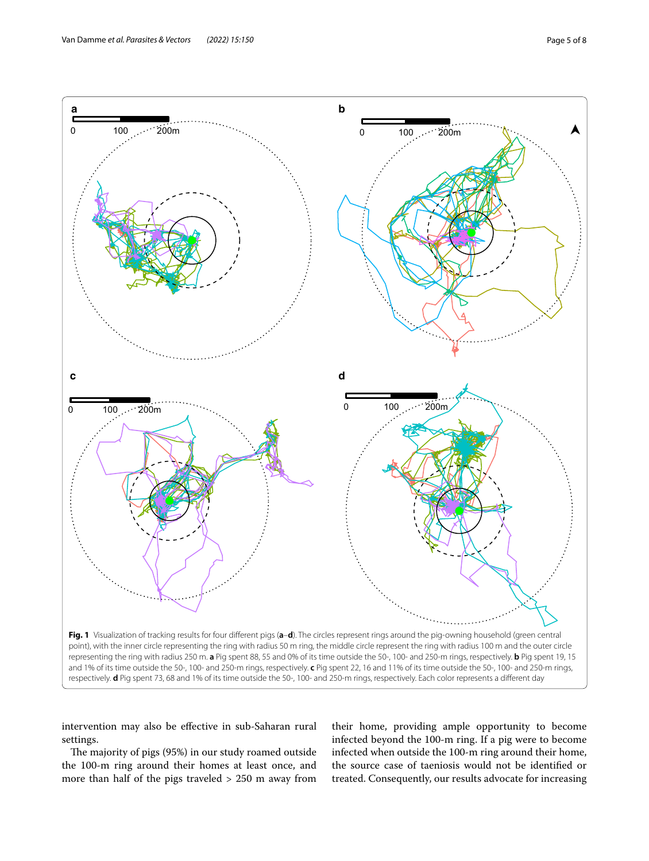

<span id="page-4-0"></span>intervention may also be efective in sub-Saharan rural settings.

The majority of pigs (95%) in our study roamed outside the 100-m ring around their homes at least once, and more than half of the pigs traveled > 250 m away from

their home, providing ample opportunity to become infected beyond the 100-m ring. If a pig were to become infected when outside the 100-m ring around their home, the source case of taeniosis would not be identifed or treated. Consequently, our results advocate for increasing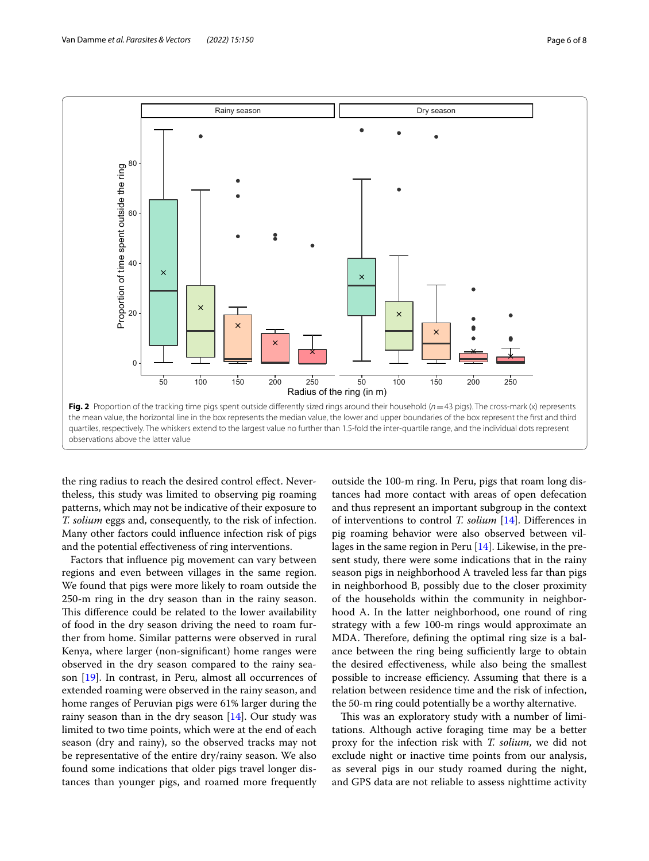

<span id="page-5-0"></span>the ring radius to reach the desired control effect. Nevertheless, this study was limited to observing pig roaming patterns, which may not be indicative of their exposure to *T. solium* eggs and, consequently, to the risk of infection. Many other factors could infuence infection risk of pigs and the potential efectiveness of ring interventions.

Factors that infuence pig movement can vary between regions and even between villages in the same region. We found that pigs were more likely to roam outside the 250-m ring in the dry season than in the rainy season. This difference could be related to the lower availability of food in the dry season driving the need to roam further from home. Similar patterns were observed in rural Kenya, where larger (non-signifcant) home ranges were observed in the dry season compared to the rainy season [[19\]](#page-7-15). In contrast, in Peru, almost all occurrences of extended roaming were observed in the rainy season, and home ranges of Peruvian pigs were 61% larger during the rainy season than in the dry season  $[14]$  $[14]$ . Our study was limited to two time points, which were at the end of each season (dry and rainy), so the observed tracks may not be representative of the entire dry/rainy season. We also found some indications that older pigs travel longer distances than younger pigs, and roamed more frequently

outside the 100-m ring. In Peru, pigs that roam long distances had more contact with areas of open defecation and thus represent an important subgroup in the context of interventions to control *T. solium* [[14](#page-7-10)]. Diferences in pig roaming behavior were also observed between villages in the same region in Peru [[14](#page-7-10)]. Likewise, in the present study, there were some indications that in the rainy season pigs in neighborhood A traveled less far than pigs in neighborhood B, possibly due to the closer proximity of the households within the community in neighborhood A. In the latter neighborhood, one round of ring strategy with a few 100-m rings would approximate an MDA. Therefore, defining the optimal ring size is a balance between the ring being sufficiently large to obtain the desired efectiveness, while also being the smallest possible to increase efficiency. Assuming that there is a relation between residence time and the risk of infection, the 50-m ring could potentially be a worthy alternative.

This was an exploratory study with a number of limitations. Although active foraging time may be a better proxy for the infection risk with *T. solium*, we did not exclude night or inactive time points from our analysis, as several pigs in our study roamed during the night, and GPS data are not reliable to assess nighttime activity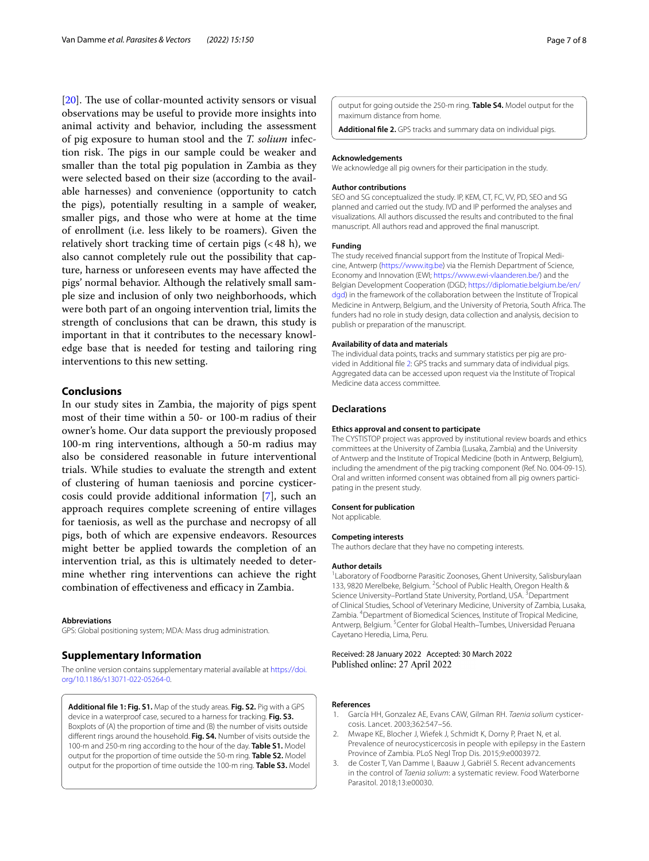[ $20$ ]. The use of collar-mounted activity sensors or visual observations may be useful to provide more insights into animal activity and behavior, including the assessment of pig exposure to human stool and the *T. solium* infection risk. The pigs in our sample could be weaker and smaller than the total pig population in Zambia as they were selected based on their size (according to the available harnesses) and convenience (opportunity to catch the pigs), potentially resulting in a sample of weaker, smaller pigs, and those who were at home at the time of enrollment (i.e. less likely to be roamers). Given the relatively short tracking time of certain pigs  $( $48$  h), we$ also cannot completely rule out the possibility that capture, harness or unforeseen events may have afected the pigs' normal behavior. Although the relatively small sample size and inclusion of only two neighborhoods, which were both part of an ongoing intervention trial, limits the strength of conclusions that can be drawn, this study is important in that it contributes to the necessary knowledge base that is needed for testing and tailoring ring interventions to this new setting.

# **Conclusions**

In our study sites in Zambia, the majority of pigs spent most of their time within a 50- or 100-m radius of their owner's home. Our data support the previously proposed 100-m ring interventions, although a 50-m radius may also be considered reasonable in future interventional trials. While studies to evaluate the strength and extent of clustering of human taeniosis and porcine cysticercosis could provide additional information [\[7](#page-7-3)], such an approach requires complete screening of entire villages for taeniosis, as well as the purchase and necropsy of all pigs, both of which are expensive endeavors. Resources might better be applied towards the completion of an intervention trial, as this is ultimately needed to determine whether ring interventions can achieve the right combination of effectiveness and efficacy in Zambia.

#### **Abbreviations**

GPS: Global positioning system; MDA: Mass drug administration.

## **Supplementary Information**

The online version contains supplementary material available at [https://doi.](https://doi.org/10.1186/s13071-022-05264-0) [org/10.1186/s13071-022-05264-0](https://doi.org/10.1186/s13071-022-05264-0).

<span id="page-6-3"></span>**Additional fle 1: Fig. S1.** Map of the study areas. **Fig. S2.** Pig with a GPS device in a waterproof case, secured to a harness for tracking. **Fig. S3.** Boxplots of (A) the proportion of time and (B) the number of visits outside diferent rings around the household. **Fig. S4.** Number of visits outside the 100-m and 250-m ring according to the hour of the day. **Table S1.** Model output for the proportion of time outside the 50-m ring. **Table S2.** Model output for the proportion of time outside the 100-m ring. **Table S3.** Model <span id="page-6-4"></span>output for going outside the 250-m ring. **Table S4.** Model output for the maximum distance from home.

**Additional fle 2.** GPS tracks and summary data on individual pigs.

#### **Acknowledgements**

We acknowledge all pig owners for their participation in the study.

#### **Author contributions**

SEO and SG conceptualized the study. IP, KEM, CT, FC, VV, PD, SEO and SG planned and carried out the study. IVD and IP performed the analyses and visualizations. All authors discussed the results and contributed to the fnal manuscript. All authors read and approved the fnal manuscript.

#### **Funding**

The study received fnancial support from the Institute of Tropical Medicine, Antwerp [\(https://www.itg.be](https://www.itg.be)) via the Flemish Department of Science, Economy and Innovation (EWI; <https://www.ewi-vlaanderen.be/>) and the Belgian Development Cooperation (DGD; [https://diplomatie.belgium.be/en/](https://diplomatie.belgium.be/en/dgd) [dgd\)](https://diplomatie.belgium.be/en/dgd) in the framework of the collaboration between the Institute of Tropical Medicine in Antwerp, Belgium, and the University of Pretoria, South Africa. The funders had no role in study design, data collection and analysis, decision to publish or preparation of the manuscript.

#### **Availability of data and materials**

The individual data points, tracks and summary statistics per pig are provided in Additional fle [2](#page-6-4): GPS tracks and summary data of individual pigs. Aggregated data can be accessed upon request via the Institute of Tropical Medicine data access committee.

#### **Declarations**

#### **Ethics approval and consent to participate**

The CYSTISTOP project was approved by institutional review boards and ethics committees at the University of Zambia (Lusaka, Zambia) and the University of Antwerp and the Institute of Tropical Medicine (both in Antwerp, Belgium), including the amendment of the pig tracking component (Ref. No. 004-09-15). Oral and written informed consent was obtained from all pig owners participating in the present study.

#### **Consent for publication**

Not applicable.

#### **Competing interests**

The authors declare that they have no competing interests.

#### **Author details**

<sup>1</sup> Laboratory of Foodborne Parasitic Zoonoses, Ghent University, Salisburylaan 133, 9820 Merelbeke, Belgium. <sup>2</sup> School of Public Health, Oregon Health & Science University-Portland State University, Portland, USA.<sup>3</sup> Department of Clinical Studies, School of Veterinary Medicine, University of Zambia, Lusaka, Zambia. 4 Department of Biomedical Sciences, Institute of Tropical Medicine, Antwerp, Belgium. <sup>5</sup> Center for Global Health-Tumbes, Universidad Peruana Cayetano Heredia, Lima, Peru.

## Received: 28 January 2022 Accepted: 30 March 2022 Published online: 27 April 2022

#### **References**

- <span id="page-6-0"></span>1. García HH, Gonzalez AE, Evans CAW, Gilman RH. *Taenia solium* cysticercosis. Lancet. 2003;362:547–56.
- <span id="page-6-1"></span>2. Mwape KE, Blocher J, Wiefek J, Schmidt K, Dorny P, Praet N, et al. Prevalence of neurocysticercosis in people with epilepsy in the Eastern Province of Zambia. PLoS Negl Trop Dis. 2015;9:e0003972.
- <span id="page-6-2"></span>3. de Coster T, Van Damme I, Baauw J, Gabriël S. Recent advancements in the control of *Taenia solium*: a systematic review. Food Waterborne Parasitol. 2018;13:e00030.